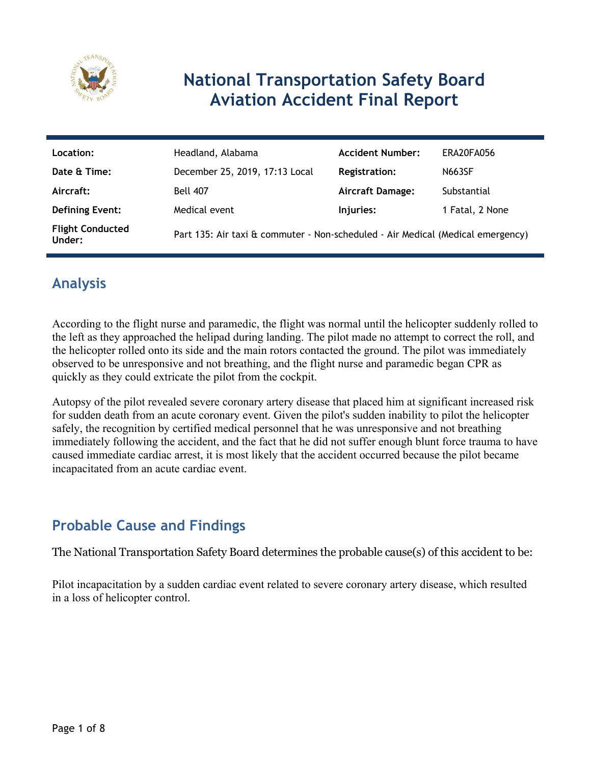

# **National Transportation Safety Board Aviation Accident Final Report**

| Location:                         | Headland, Alabama                                                               | <b>Accident Number:</b> | ERA20FA056      |
|-----------------------------------|---------------------------------------------------------------------------------|-------------------------|-----------------|
| Date & Time:                      | December 25, 2019, 17:13 Local                                                  | <b>Registration:</b>    | <b>N663SF</b>   |
| Aircraft:                         | <b>Bell 407</b>                                                                 | <b>Aircraft Damage:</b> | Substantial     |
| <b>Defining Event:</b>            | Medical event                                                                   | Injuries:               | 1 Fatal, 2 None |
| <b>Flight Conducted</b><br>Under: | Part 135: Air taxi & commuter - Non-scheduled - Air Medical (Medical emergency) |                         |                 |

## **Analysis**

According to the flight nurse and paramedic, the flight was normal until the helicopter suddenly rolled to the left as they approached the helipad during landing. The pilot made no attempt to correct the roll, and the helicopter rolled onto its side and the main rotors contacted the ground. The pilot was immediately observed to be unresponsive and not breathing, and the flight nurse and paramedic began CPR as quickly as they could extricate the pilot from the cockpit.

Autopsy of the pilot revealed severe coronary artery disease that placed him at significant increased risk for sudden death from an acute coronary event. Given the pilot's sudden inability to pilot the helicopter safely, the recognition by certified medical personnel that he was unresponsive and not breathing immediately following the accident, and the fact that he did not suffer enough blunt force trauma to have caused immediate cardiac arrest, it is most likely that the accident occurred because the pilot became incapacitated from an acute cardiac event.

## **Probable Cause and Findings**

The National Transportation Safety Board determines the probable cause(s) of this accident to be:

Pilot incapacitation by a sudden cardiac event related to severe coronary artery disease, which resulted in a loss of helicopter control.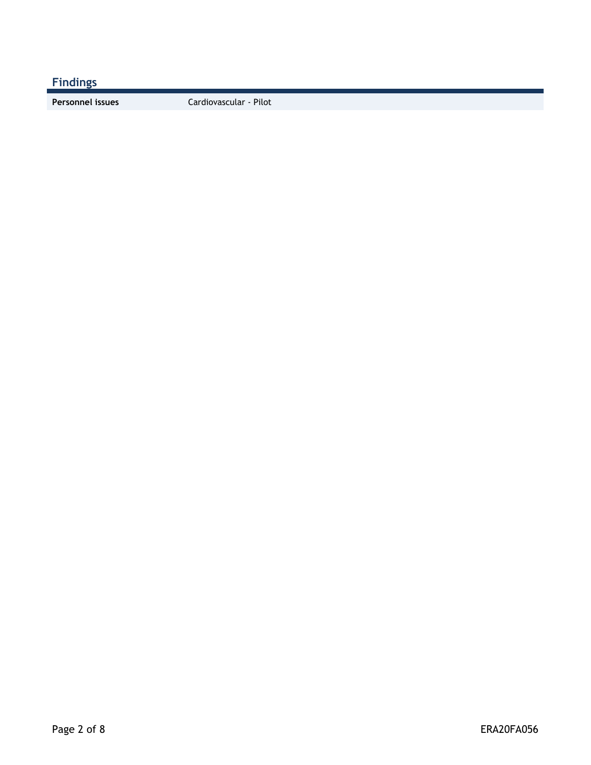**Findings**

**Personnel issues** Cardiovascular - Pilot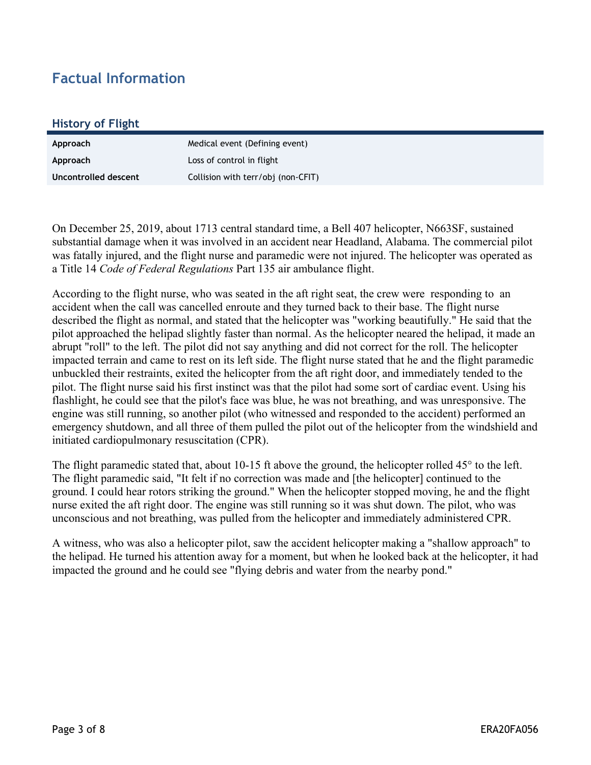### **Factual Information**

#### **History of Flight**

| Approach             | Medical event (Defining event)     |
|----------------------|------------------------------------|
| Approach             | Loss of control in flight          |
| Uncontrolled descent | Collision with terr/obj (non-CFIT) |

On December 25, 2019, about 1713 central standard time, a Bell 407 helicopter, N663SF, sustained substantial damage when it was involved in an accident near Headland, Alabama. The commercial pilot was fatally injured, and the flight nurse and paramedic were not injured. The helicopter was operated as a Title 14 *Code of Federal Regulations* Part 135 air ambulance flight.

According to the flight nurse, who was seated in the aft right seat, the crew were responding to an accident when the call was cancelled enroute and they turned back to their base. The flight nurse described the flight as normal, and stated that the helicopter was "working beautifully." He said that the pilot approached the helipad slightly faster than normal. As the helicopter neared the helipad, it made an abrupt "roll" to the left. The pilot did not say anything and did not correct for the roll. The helicopter impacted terrain and came to rest on its left side. The flight nurse stated that he and the flight paramedic unbuckled their restraints, exited the helicopter from the aft right door, and immediately tended to the pilot. The flight nurse said his first instinct was that the pilot had some sort of cardiac event. Using his flashlight, he could see that the pilot's face was blue, he was not breathing, and was unresponsive. The engine was still running, so another pilot (who witnessed and responded to the accident) performed an emergency shutdown, and all three of them pulled the pilot out of the helicopter from the windshield and initiated cardiopulmonary resuscitation (CPR).

The flight paramedic stated that, about 10-15 ft above the ground, the helicopter rolled 45° to the left. The flight paramedic said, "It felt if no correction was made and [the helicopter] continued to the ground. I could hear rotors striking the ground." When the helicopter stopped moving, he and the flight nurse exited the aft right door. The engine was still running so it was shut down. The pilot, who was unconscious and not breathing, was pulled from the helicopter and immediately administered CPR.

A witness, who was also a helicopter pilot, saw the accident helicopter making a "shallow approach" to the helipad. He turned his attention away for a moment, but when he looked back at the helicopter, it had impacted the ground and he could see "flying debris and water from the nearby pond."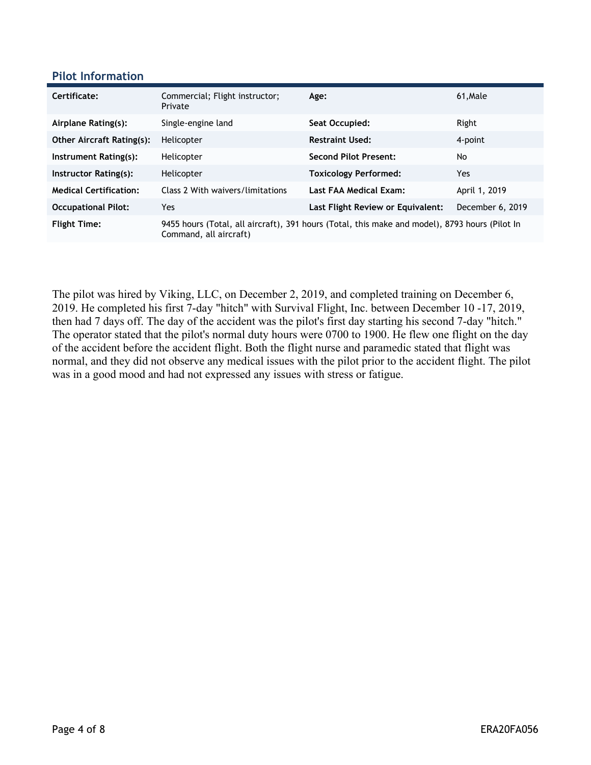#### **Pilot Information**

| Certificate:                     | Commercial; Flight instructor;<br>Private | Age:                                                                                           | 61, Male         |
|----------------------------------|-------------------------------------------|------------------------------------------------------------------------------------------------|------------------|
| Airplane Rating(s):              | Single-engine land                        | Seat Occupied:                                                                                 | Right            |
| <b>Other Aircraft Rating(s):</b> | Helicopter                                | <b>Restraint Used:</b>                                                                         | 4-point          |
| Instrument Rating(s):            | Helicopter                                | <b>Second Pilot Present:</b>                                                                   | No               |
| Instructor Rating(s):            | Helicopter                                | <b>Toxicology Performed:</b>                                                                   | Yes              |
| <b>Medical Certification:</b>    | Class 2 With waivers/limitations          | Last FAA Medical Exam:                                                                         | April 1, 2019    |
| <b>Occupational Pilot:</b>       | Yes                                       | Last Flight Review or Equivalent:                                                              | December 6, 2019 |
| <b>Flight Time:</b>              | Command, all aircraft)                    | 9455 hours (Total, all aircraft), 391 hours (Total, this make and model), 8793 hours (Pilot In |                  |

The pilot was hired by Viking, LLC, on December 2, 2019, and completed training on December 6, 2019. He completed his first 7-day "hitch" with Survival Flight, Inc. between December 10 -17, 2019, then had 7 days off. The day of the accident was the pilot's first day starting his second 7-day "hitch." The operator stated that the pilot's normal duty hours were 0700 to 1900. He flew one flight on the day of the accident before the accident flight. Both the flight nurse and paramedic stated that flight was normal, and they did not observe any medical issues with the pilot prior to the accident flight. The pilot was in a good mood and had not expressed any issues with stress or fatigue.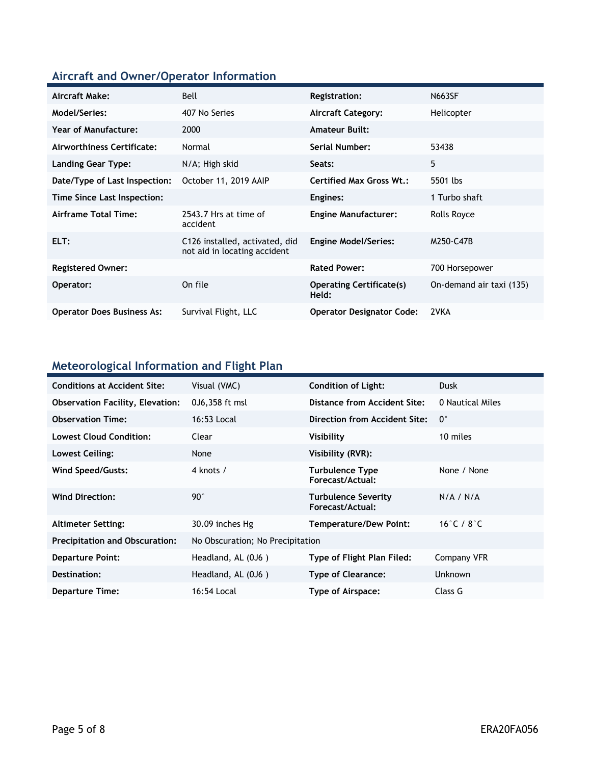## **Aircraft and Owner/Operator Information**

| Aircraft Make:                    | Bell                                                           | Registration:                            | <b>N663SF</b>            |
|-----------------------------------|----------------------------------------------------------------|------------------------------------------|--------------------------|
| Model/Series:                     | 407 No Series                                                  | <b>Aircraft Category:</b>                | Helicopter               |
| Year of Manufacture:              | 2000                                                           | <b>Amateur Built:</b>                    |                          |
| Airworthiness Certificate:        | Normal                                                         | <b>Serial Number:</b>                    | 53438                    |
| <b>Landing Gear Type:</b>         | N/A; High skid                                                 | Seats:                                   | 5                        |
| Date/Type of Last Inspection:     | October 11, 2019 AAIP                                          | <b>Certified Max Gross Wt.:</b>          | 5501 lbs                 |
| Time Since Last Inspection:       |                                                                | Engines:                                 | 1 Turbo shaft            |
| Airframe Total Time:              | 2543.7 Hrs at time of<br>accident                              | <b>Engine Manufacturer:</b>              | Rolls Royce              |
| ELT:                              | C126 installed, activated, did<br>not aid in locating accident | <b>Engine Model/Series:</b>              | M250-C47B                |
| <b>Registered Owner:</b>          |                                                                | <b>Rated Power:</b>                      | 700 Horsepower           |
| Operator:                         | On file                                                        | <b>Operating Certificate(s)</b><br>Held: | On-demand air taxi (135) |
| <b>Operator Does Business As:</b> | Survival Flight, LLC                                           | <b>Operator Designator Code:</b>         | 2VKA                     |

### **Meteorological Information and Flight Plan**

| <b>Conditions at Accident Site:</b>     | Visual (VMC)                     | <b>Condition of Light:</b>              | <b>Dusk</b>                    |
|-----------------------------------------|----------------------------------|-----------------------------------------|--------------------------------|
| <b>Observation Facility, Elevation:</b> | 0J6,358 ft msl                   | Distance from Accident Site:            | 0 Nautical Miles               |
| <b>Observation Time:</b>                | 16:53 Local                      | Direction from Accident Site:           | $0^{\circ}$                    |
| <b>Lowest Cloud Condition:</b>          | Clear                            | Visibility                              | 10 miles                       |
| Lowest Ceiling:                         | None                             | Visibility (RVR):                       |                                |
| Wind Speed/Gusts:                       | 4 knots /                        | Turbulence Type<br>Forecast/Actual:     | None / None                    |
| <b>Wind Direction:</b>                  | $90^{\circ}$                     | Turbulence Severity<br>Forecast/Actual: | N/A / N/A                      |
| <b>Altimeter Setting:</b>               | 30.09 inches Hg                  | <b>Temperature/Dew Point:</b>           | 16 $\degree$ C / 8 $\degree$ C |
| <b>Precipitation and Obscuration:</b>   | No Obscuration; No Precipitation |                                         |                                |
| <b>Departure Point:</b>                 | Headland, AL (0J6)               | <b>Type of Flight Plan Filed:</b>       | Company VFR                    |
| Destination:                            | Headland, AL (0J6)               | Type of Clearance:                      | <b>Unknown</b>                 |
| <b>Departure Time:</b>                  | 16:54 Local                      | Type of Airspace:                       | Class G                        |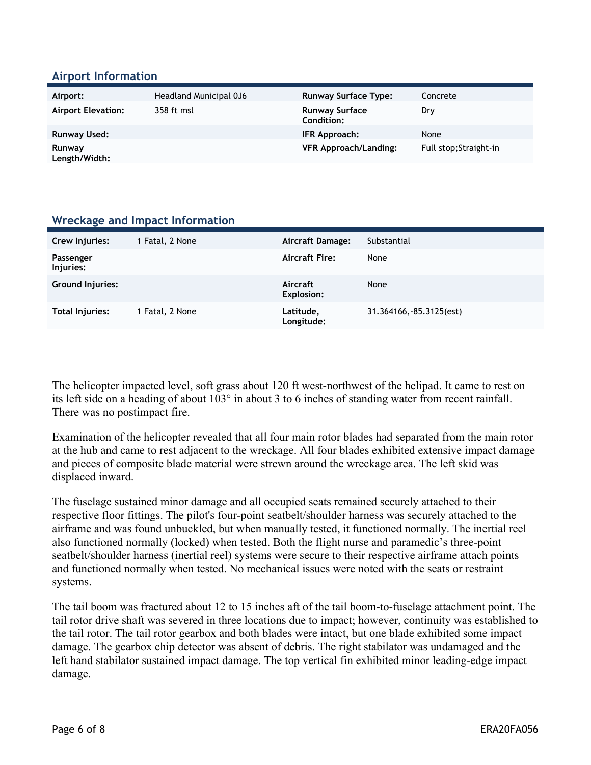#### **Airport Information**

| Airport:                  | Headland Municipal 0J6 | <b>Runway Surface Type:</b>         | Concrete               |
|---------------------------|------------------------|-------------------------------------|------------------------|
| <b>Airport Elevation:</b> | 358 ft msl             | <b>Runway Surface</b><br>Condition: | Dry                    |
| <b>Runway Used:</b>       |                        | IFR Approach:                       | None                   |
| Runway<br>Length/Width:   |                        | <b>VFR Approach/Landing:</b>        | Full stop: Straight-in |

#### **Wreckage and Impact Information**

| Crew Injuries:          | 1 Fatal, 2 None | <b>Aircraft Damage:</b>       | Substantial              |
|-------------------------|-----------------|-------------------------------|--------------------------|
|                         |                 |                               |                          |
| Passenger<br>Injuries:  |                 | <b>Aircraft Fire:</b>         | None                     |
| <b>Ground Injuries:</b> |                 | Aircraft<br><b>Explosion:</b> | None                     |
| Total Injuries:         | 1 Fatal, 2 None | Latitude,<br>Longitude:       | 31.364166, -85.3125(est) |

The helicopter impacted level, soft grass about 120 ft west-northwest of the helipad. It came to rest on its left side on a heading of about 103° in about 3 to 6 inches of standing water from recent rainfall. There was no postimpact fire.

Examination of the helicopter revealed that all four main rotor blades had separated from the main rotor at the hub and came to rest adjacent to the wreckage. All four blades exhibited extensive impact damage and pieces of composite blade material were strewn around the wreckage area. The left skid was displaced inward.

The fuselage sustained minor damage and all occupied seats remained securely attached to their respective floor fittings. The pilot's four-point seatbelt/shoulder harness was securely attached to the airframe and was found unbuckled, but when manually tested, it functioned normally. The inertial reel also functioned normally (locked) when tested. Both the flight nurse and paramedic's three-point seatbelt/shoulder harness (inertial reel) systems were secure to their respective airframe attach points and functioned normally when tested. No mechanical issues were noted with the seats or restraint systems.

The tail boom was fractured about 12 to 15 inches aft of the tail boom-to-fuselage attachment point. The tail rotor drive shaft was severed in three locations due to impact; however, continuity was established to the tail rotor. The tail rotor gearbox and both blades were intact, but one blade exhibited some impact damage. The gearbox chip detector was absent of debris. The right stabilator was undamaged and the left hand stabilator sustained impact damage. The top vertical fin exhibited minor leading-edge impact damage.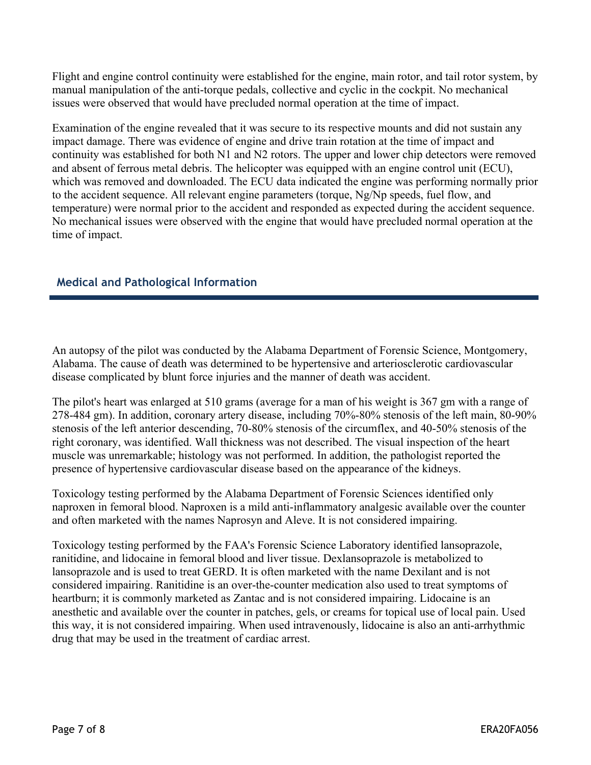Flight and engine control continuity were established for the engine, main rotor, and tail rotor system, by manual manipulation of the anti-torque pedals, collective and cyclic in the cockpit. No mechanical issues were observed that would have precluded normal operation at the time of impact.

Examination of the engine revealed that it was secure to its respective mounts and did not sustain any impact damage. There was evidence of engine and drive train rotation at the time of impact and continuity was established for both N1 and N2 rotors. The upper and lower chip detectors were removed and absent of ferrous metal debris. The helicopter was equipped with an engine control unit (ECU), which was removed and downloaded. The ECU data indicated the engine was performing normally prior to the accident sequence. All relevant engine parameters (torque, Ng/Np speeds, fuel flow, and temperature) were normal prior to the accident and responded as expected during the accident sequence. No mechanical issues were observed with the engine that would have precluded normal operation at the time of impact.

### **Medical and Pathological Information**

An autopsy of the pilot was conducted by the Alabama Department of Forensic Science, Montgomery, Alabama. The cause of death was determined to be hypertensive and arteriosclerotic cardiovascular disease complicated by blunt force injuries and the manner of death was accident.

The pilot's heart was enlarged at 510 grams (average for a man of his weight is 367 gm with a range of 278-484 gm). In addition, coronary artery disease, including 70%-80% stenosis of the left main, 80-90% stenosis of the left anterior descending, 70-80% stenosis of the circumflex, and 40-50% stenosis of the right coronary, was identified. Wall thickness was not described. The visual inspection of the heart muscle was unremarkable; histology was not performed. In addition, the pathologist reported the presence of hypertensive cardiovascular disease based on the appearance of the kidneys.

Toxicology testing performed by the Alabama Department of Forensic Sciences identified only naproxen in femoral blood. Naproxen is a mild anti-inflammatory analgesic available over the counter and often marketed with the names Naprosyn and Aleve. It is not considered impairing.

Toxicology testing performed by the FAA's Forensic Science Laboratory identified lansoprazole, ranitidine, and lidocaine in femoral blood and liver tissue. Dexlansoprazole is metabolized to lansoprazole and is used to treat GERD. It is often marketed with the name Dexilant and is not considered impairing. Ranitidine is an over-the-counter medication also used to treat symptoms of heartburn; it is commonly marketed as Zantac and is not considered impairing. Lidocaine is an anesthetic and available over the counter in patches, gels, or creams for topical use of local pain. Used this way, it is not considered impairing. When used intravenously, lidocaine is also an anti-arrhythmic drug that may be used in the treatment of cardiac arrest.